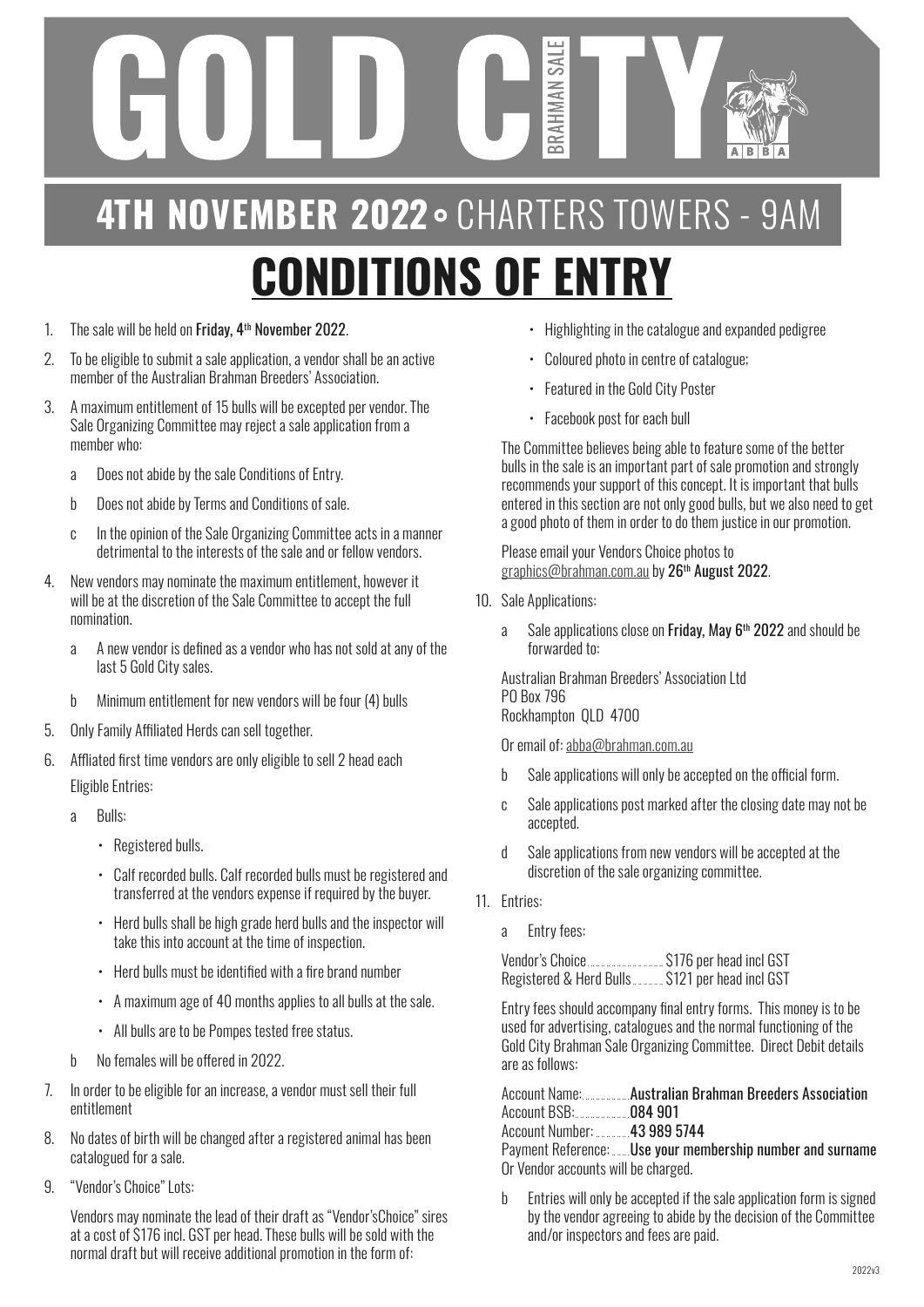## BRAHMAN 4TH NOVEMBER 2022 . CHARTERS TOWERS - 9AM **CONDITIONS OF ENTRY**

SAL

- 1. The sale will be held on Friday, 4<sup>th</sup> November 2022.
- 2. To be eligible to submit a sale application, a vendor shall be an active member of the Australian Brahman Breeders' Association.
- 3. A maximum entitlement of 15 bulls will be excepted per vendor. The Sale Organizing Committee may reject a sale application from a member who:
	- a Does not abide by the sale Conditions of Entry.
	- b Does not abide by Terms and Conditions of sale.
	- c In the opinion of the Sale Organizing Committee acts in a manner detrimental to the interests of the sale and or fellow vendors.
- 4. New vendors may nominate the maximum entitlement, however it will be at the discretion of the Sale Committee to accept the full nomination.
	- a A new vendor is defined as a vendor who has not sold at any of the last 5 Gold City sales.
	- b Minimum entitlement for new vendors will be four (4) bulls
- 5. Only Family Affiliated Herds can sell together.
- 6. Affliated first time vendors are only eligible to sell 2 head each Eligible Entries:
	- a Bulls:
		- Registered bulls.
		- Calf recorded bulls. Calf recorded bulls must be registered and transferred at the vendors expense if required by the buyer.
		- Herd bulls shall be high grade herd bulls and the inspector will take this into account at the time of inspection.
		- Herd bulls must be identified with a fire brand number
		- A maximum age of 40 months applies to all bulls at the sale.
		- All bulls are to be Pompes tested free status.
	- b No females will be offered in 2022.
- 7. In order to be eligible for an increase, a vendor must sell their full entitlement
- 8. No dates of birth will be changed after a registered animal has been catalogued for a sale.
- 9. "Vendor's Choice" Lots:

Vendors may nominate the lead of their draft as "Vendor'sChoice" sires at a cost of \$176 incl. GST per head. These bulls will be sold with the normal draft but will receive additional promotion in the form of:

- Highlighting in the catalogue and expanded pedigree
- Coloured photo in centre of catalogue;
- Featured in the Gold City Poster
- Facebook post for each bull

The Committee believes being able to feature some of the better bulls in the sale is an important part of sale promotion and strongly recommends your support of this concept. It is important that bulls entered in this section are not only good bulls, but we also need to get a good photo of them in order to do them justice in our promotion.

Please email your Vendors Choice photos to graphics@brahman.com.au by 26<sup>th</sup> August 2022.

- 10. Sale Applications:
	- a Sale applications close on Friday, May  $6<sup>th</sup>$  2022 and should be forwarded to:

Australian Brahman Breeders' Association Ltd PO Box 796 Rockhampton QLD 4700

Or email of: abba@brahman.com.au

- b Sale applications will only be accepted on the official form.
- c Sale applications post marked after the closing date may not be accepted.
- d Sale applications from new vendors will be accepted at the discretion of the sale organizing committee.
- 11. Entries:
	- a Entry fees:

Vendor's Choice........................ \$176 per head incl GST Registered & Herd Bulls. . . . . . . . . . . . \$121 per head incl GST

Entry fees should accompany final entry forms. This money is to be used for advertising, catalogues and the normal functioning of the Gold City Brahman Sale Organizing Committee. Direct Debit details are as follows:

|                                     | Account Name: Australian Brahman Breeders Association     |
|-------------------------------------|-----------------------------------------------------------|
| Account BSB: 084 901                |                                                           |
| Account Number: 43 989 5744         |                                                           |
|                                     | Payment Reference: Use your membership number and surname |
| Or Vendor accounts will be charged. |                                                           |

b Entries will only be accepted if the sale application form is signed by the vendor agreeing to abide by the decision of the Committee and/or inspectors and fees are paid.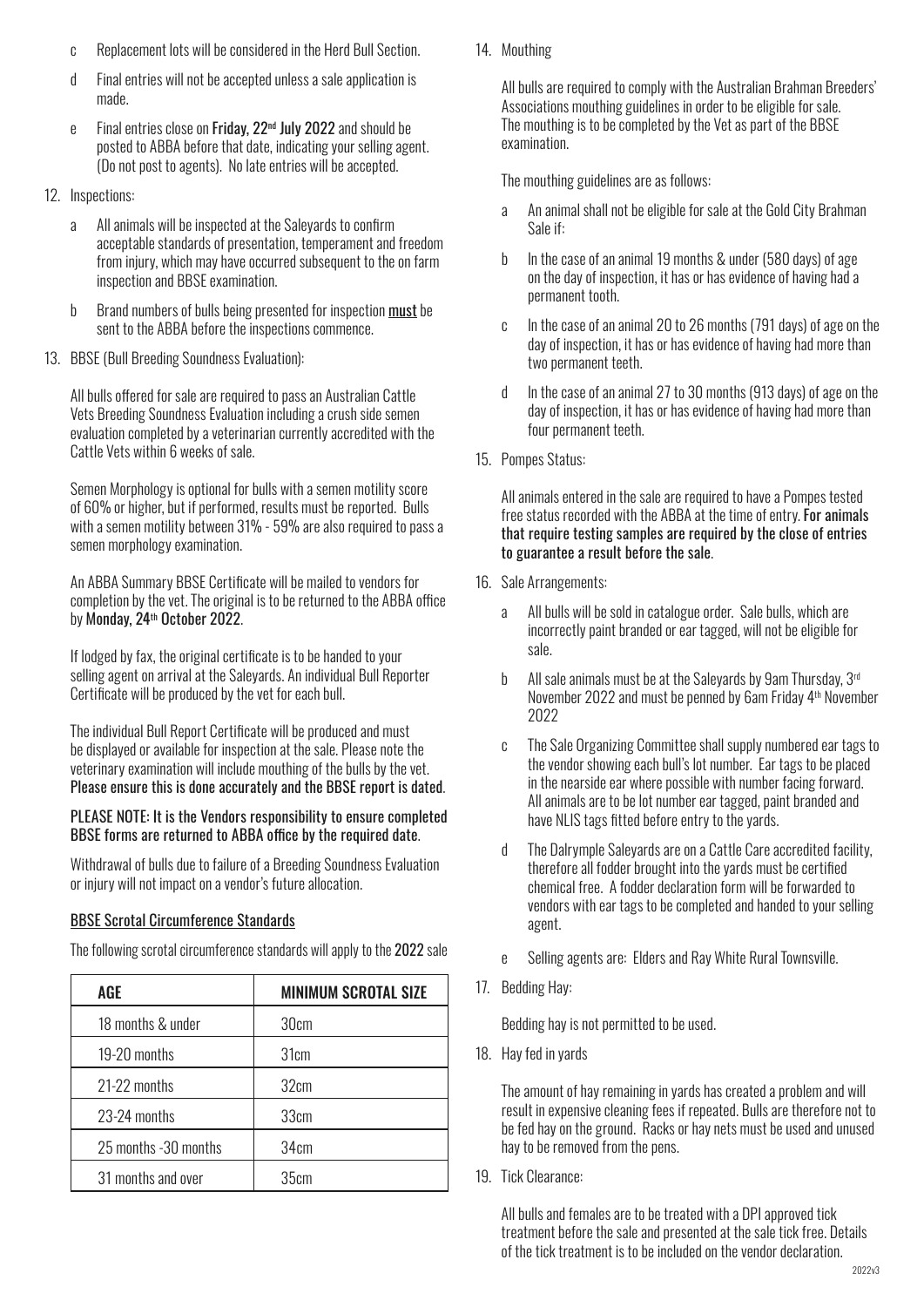- c Replacement lots will be considered in the Herd Bull Section.
- d Final entries will not be accepted unless a sale application is made.
- e Final entries close on Friday, 22<sup>nd</sup> July 2022 and should be posted to ABBA before that date, indicating your selling agent. (Do not post to agents). No late entries will be accepted.
- 12. Inspections:
	- a All animals will be inspected at the Saleyards to confirm acceptable standards of presentation, temperament and freedom from injury, which may have occurred subsequent to the on farm inspection and BBSE examination.
	- b Brand numbers of bulls being presented for inspection must be sent to the ABBA before the inspections commence.
- 13. BBSE (Bull Breeding Soundness Evaluation):

All bulls offered for sale are required to pass an Australian Cattle Vets Breeding Soundness Evaluation including a crush side semen evaluation completed by a veterinarian currently accredited with the Cattle Vets within 6 weeks of sale.

Semen Morphology is optional for bulls with a semen motility score of 60% or higher, but if performed, results must be reported. Bulls with a semen motility between 31% - 59% are also required to pass a semen morphology examination.

An ABBA Summary BBSE Certificate will be mailed to vendors for completion by the vet. The original is to be returned to the ABBA office by Monday, 24<sup>th</sup> October 2022.

If lodged by fax, the original certificate is to be handed to your selling agent on arrival at the Saleyards. An individual Bull Reporter Certificate will be produced by the vet for each bull.

The individual Bull Report Certificate will be produced and must be displayed or available for inspection at the sale. Please note the veterinary examination will include mouthing of the bulls by the vet. Please ensure this is done accurately and the BBSE report is dated.

## PLEASE NOTE: It is the Vendors responsibility to ensure completed BBSE forms are returned to ABBA office by the required date.

Withdrawal of bulls due to failure of a Breeding Soundness Evaluation or injury will not impact on a vendor's future allocation.

## BBSE Scrotal Circumference Standards

23-24 months 1 33cm 25 months -30 months 1 34cm

31 months and over **1** 35cm

AGE MINIMUM SCROTAL SIZE 18 months & under The Solem 19-20 months 31cm 21-22 months 32cm

The following scrotal circumference standards will apply to the 2022 sale

14. Mouthing

All bulls are required to comply with the Australian Brahman Breeders' Associations mouthing guidelines in order to be eligible for sale. The mouthing is to be completed by the Vet as part of the BBSE examination.

The mouthing guidelines are as follows:

- a An animal shall not be eligible for sale at the Gold City Brahman Sale if:
- b In the case of an animal 19 months & under (580 days) of age on the day of inspection, it has or has evidence of having had a permanent tooth.
- c In the case of an animal 20 to 26 months (791 days) of age on the day of inspection, it has or has evidence of having had more than two permanent teeth.
- d In the case of an animal 27 to 30 months (913 days) of age on the day of inspection, it has or has evidence of having had more than four permanent teeth.
- 15. Pompes Status:

All animals entered in the sale are required to have a Pompes tested free status recorded with the ABBA at the time of entry. For animals that require testing samples are required by the close of entries to guarantee a result before the sale.

- 16. Sale Arrangements:
	- a All bulls will be sold in catalogue order. Sale bulls, which are incorrectly paint branded or ear tagged, will not be eligible for sale.
	- b All sale animals must be at the Salevards by 9am Thursday, 3rd November 2022 and must be penned by 6am Friday 4th November 2022
	- c The Sale Organizing Committee shall supply numbered ear tags to the vendor showing each bull's lot number. Ear tags to be placed in the nearside ear where possible with number facing forward. All animals are to be lot number ear tagged, paint branded and have NLIS tags fitted before entry to the yards.
	- d The Dalrymple Saleyards are on a Cattle Care accredited facility, therefore all fodder brought into the yards must be certified chemical free. A fodder declaration form will be forwarded to vendors with ear tags to be completed and handed to your selling agent.
	- e Selling agents are: Elders and Ray White Rural Townsville.
- 17. Bedding Hay:

Bedding hay is not permitted to be used.

18. Hay fed in yards

The amount of hay remaining in yards has created a problem and will result in expensive cleaning fees if repeated. Bulls are therefore not to be fed hay on the ground. Racks or hay nets must be used and unused hay to be removed from the pens.

19. Tick Clearance:

All bulls and females are to be treated with a DPI approved tick treatment before the sale and presented at the sale tick free. Details of the tick treatment is to be included on the vendor declaration.